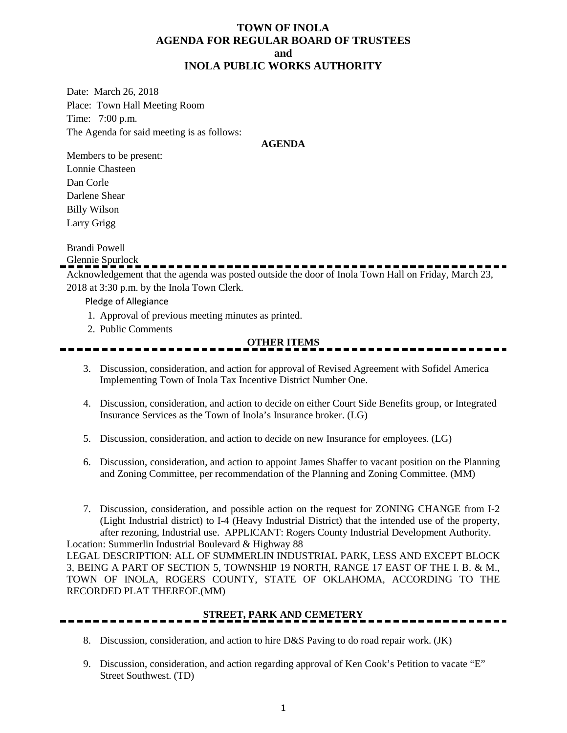#### **TOWN OF INOLA AGENDA FOR REGULAR BOARD OF TRUSTEES and INOLA PUBLIC WORKS AUTHORITY**

Date: March 26, 2018 Place: Town Hall Meeting Room Time: 7:00 p.m. The Agenda for said meeting is as follows:

#### **AGENDA**

Members to be present: Lonnie Chasteen Dan Corle Darlene Shear Billy Wilson Larry Grigg

Brandi Powell

Glennie Spurlock

Acknowledgement that the agenda was posted outside the door of Inola Town Hall on Friday, March 23, 2018 at 3:30 p.m. by the Inola Town Clerk.

Pledge of Allegiance

- 1. Approval of previous meeting minutes as printed.
- 2. Public Comments

### **OTHER ITEMS**

- 3. Discussion, consideration, and action for approval of Revised Agreement with Sofidel America Implementing Town of Inola Tax Incentive District Number One.
- 4. Discussion, consideration, and action to decide on either Court Side Benefits group, or Integrated Insurance Services as the Town of Inola's Insurance broker. (LG)
- 5. Discussion, consideration, and action to decide on new Insurance for employees. (LG)
- 6. Discussion, consideration, and action to appoint James Shaffer to vacant position on the Planning and Zoning Committee, per recommendation of the Planning and Zoning Committee. (MM)
- 7. Discussion, consideration, and possible action on the request for ZONING CHANGE from I-2 (Light Industrial district) to I-4 (Heavy Industrial District) that the intended use of the property, after rezoning, Industrial use. APPLICANT: Rogers County Industrial Development Authority. Location: Summerlin Industrial Boulevard & Highway 88

LEGAL DESCRIPTION: ALL OF SUMMERLIN INDUSTRIAL PARK, LESS AND EXCEPT BLOCK 3, BEING A PART OF SECTION 5, TOWNSHIP 19 NORTH, RANGE 17 EAST OF THE I. B. & M., TOWN OF INOLA, ROGERS COUNTY, STATE OF OKLAHOMA, ACCORDING TO THE RECORDED PLAT THEREOF.(MM)

### **STREET, PARK AND CEMETERY**

- 8. Discussion, consideration, and action to hire D&S Paving to do road repair work. (JK)
- 9. Discussion, consideration, and action regarding approval of Ken Cook's Petition to vacate "E" Street Southwest. (TD)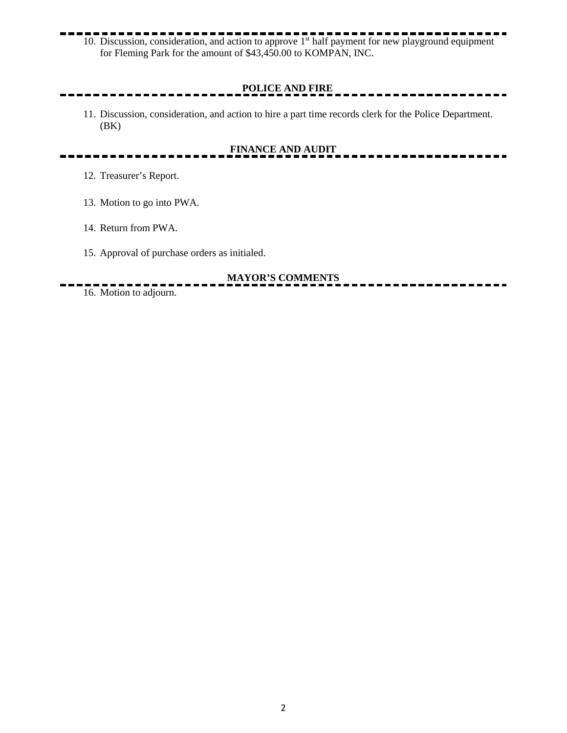10. Discussion, consideration, and action to approve 1st half payment for new playground equipment for Fleming Park for the amount of \$43,450.00 to KOMPAN, INC.

## **POLICE AND FIRE**

11. Discussion, consideration, and action to hire a part time records clerk for the Police Department. (BK)

## **FINANCE AND AUDIT**

- 12. Treasurer's Report.
- 13. Motion to go into PWA.
- 14. Return from PWA.
- 15. Approval of purchase orders as initialed.

# **MAYOR'S COMMENTS**

16. Motion to adjourn.